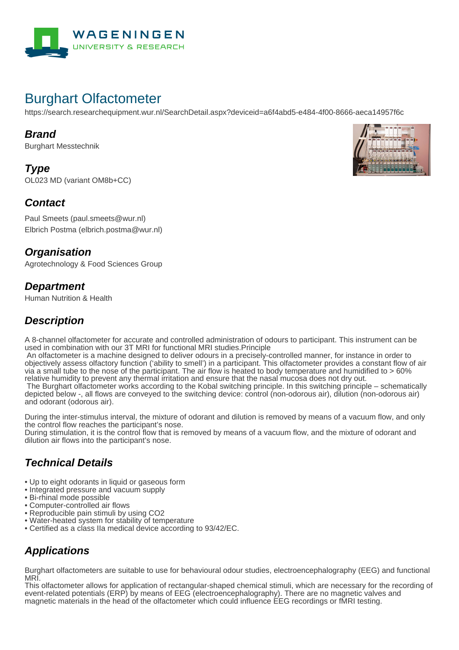

# Burghart Olfactometer

https://search.researchequipment.wur.nl/SearchDetail.aspx?deviceid=a6f4abd5-e484-4f00-8666-aeca14957f6c

#### **Brand**

Burghart Messtechnik

**Type** OL023 MD (variant OM8b+CC)

## **Contact**

Paul Smeets (paul.smeets@wur.nl) Elbrich Postma (elbrich.postma@wur.nl)

## **Organisation**

Agrotechnology & Food Sciences Group

## **Department**

Human Nutrition & Health

# **Description**

A 8-channel olfactometer for accurate and controlled administration of odours to participant. This instrument can be used in combination with our 3T MRI for functional MRI studies.Principle

 An olfactometer is a machine designed to deliver odours in a precisely-controlled manner, for instance in order to objectively assess olfactory function ('ability to smell') in a participant. This olfactometer provides a constant flow of air via a small tube to the nose of the participant. The air flow is heated to body temperature and humidified to > 60% relative humidity to prevent any thermal irritation and ensure that the nasal mucosa does not dry out. The Burghart olfactometer works according to the Kobal switching principle. In this switching principle – schematically

depicted below -, all flows are conveyed to the switching device: control (non-odorous air), dilution (non-odorous air) and odorant (odorous air).

During the inter-stimulus interval, the mixture of odorant and dilution is removed by means of a vacuum flow, and only the control flow reaches the participant's nose.

During stimulation, it is the control flow that is removed by means of a vacuum flow, and the mixture of odorant and dilution air flows into the participant's nose.

## **Technical Details**

- Up to eight odorants in liquid or gaseous form
- Integrated pressure and vacuum supply
- Bi-rhinal mode possible
- Computer-controlled air flows
- Reproducible pain stimuli by using CO2
- Water-heated system for stability of temperature
- Certified as a class IIa medical device according to 93/42/EC.

## **Applications**

Burghart olfactometers are suitable to use for behavioural odour studies, electroencephalography (EEG) and functional MR<sub>I</sub>.

This olfactometer allows for application of rectangular-shaped chemical stimuli, which are necessary for the recording of event-related potentials (ERP) by means of EEG (electroencephalography). There are no magnetic valves and magnetic materials in the head of the olfactometer which could influence EEG recordings or fMRI testing.